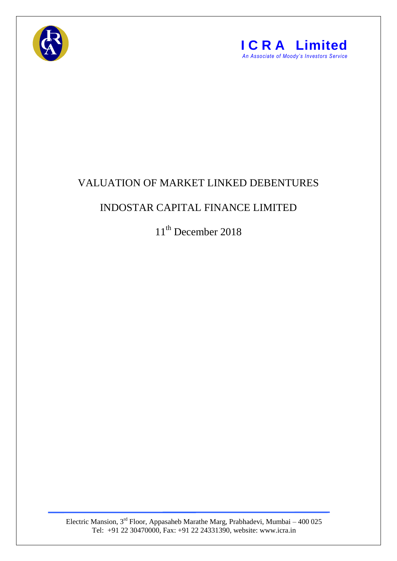



## VALUATION OF MARKET LINKED DEBENTURES

## INDOSTAR CAPITAL FINANCE LIMITED

11<sup>th</sup> December 2018